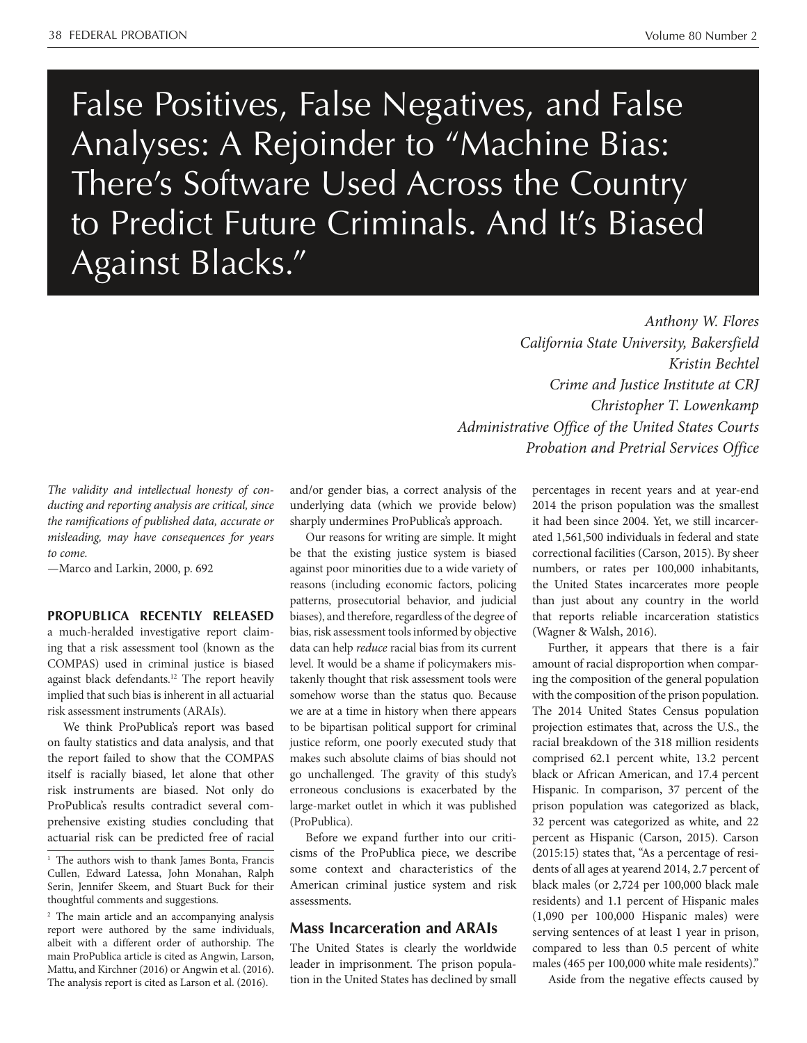False Positives, False Negatives, and False Analyses: A Rejoinder to "Machine Bias: There's Software Used Across the Country to Predict Future Criminals. And It's Biased Against Blacks."

> *Anthony W. Flores California State University, Bakersfield Kristin Bechtel Crime and Justice Institute at CRJ Christopher T. Lowenkamp Administrative Office of the United States Courts Probation and Pretrial Services Office*

*The validity and intellectual honesty of conducting and reporting analysis are critical, since the ramifications of published data, accurate or misleading, may have consequences for years to come.* 

—Marco and Larkin, 2000, p. 692

## **PROPUBLICA RECENTLY RELEASED**

a much-heralded investigative report claiming that a risk assessment tool (known as the COMPAS) used in criminal justice is biased against black defendants.<sup>12</sup> The report heavily implied that such bias is inherent in all actuarial risk assessment instruments (ARAIs).

We think ProPublica's report was based on faulty statistics and data analysis, and that the report failed to show that the COMPAS itself is racially biased, let alone that other risk instruments are biased. Not only do ProPublica's results contradict several comprehensive existing studies concluding that actuarial risk can be predicted free of racial

<sup>2</sup> The main article and an accompanying analysis report were authored by the same individuals, albeit with a different order of authorship. The main ProPublica article is cited as Angwin, Larson, Mattu, and Kirchner (2016) or Angwin et al. (2016). The analysis report is cited as Larson et al. (2016).

and/or gender bias, a correct analysis of the underlying data (which we provide below) sharply undermines ProPublica's approach.

Our reasons for writing are simple. It might be that the existing justice system is biased against poor minorities due to a wide variety of reasons (including economic factors, policing patterns, prosecutorial behavior, and judicial biases), and therefore, regardless of the degree of bias, risk assessment tools informed by objective data can help *reduce* racial bias from its current level. It would be a shame if policymakers mistakenly thought that risk assessment tools were somehow worse than the status quo. Because we are at a time in history when there appears to be bipartisan political support for criminal justice reform, one poorly executed study that makes such absolute claims of bias should not go unchallenged. The gravity of this study's erroneous conclusions is exacerbated by the large-market outlet in which it was published (ProPublica).

Before we expand further into our criticisms of the ProPublica piece, we describe some context and characteristics of the American criminal justice system and risk assessments.

## **Mass Incarceration and ARAIs**

The United States is clearly the worldwide leader in imprisonment. The prison population in the United States has declined by small percentages in recent years and at year-end 2014 the prison population was the smallest it had been since 2004. Yet, we still incarcerated 1,561,500 individuals in federal and state correctional facilities (Carson, 2015). By sheer numbers, or rates per 100,000 inhabitants, the United States incarcerates more people than just about any country in the world that reports reliable incarceration statistics (Wagner & Walsh, 2016).

Further, it appears that there is a fair amount of racial disproportion when comparing the composition of the general population with the composition of the prison population. The 2014 United States Census population projection estimates that, across the U.S., the racial breakdown of the 318 million residents comprised 62.1 percent white, 13.2 percent black or African American, and 17.4 percent Hispanic. In comparison, 37 percent of the prison population was categorized as black, 32 percent was categorized as white, and 22 percent as Hispanic (Carson, 2015). Carson (2015:15) states that, "As a percentage of residents of all ages at yearend 2014, 2.7 percent of black males (or 2,724 per 100,000 black male residents) and 1.1 percent of Hispanic males (1,090 per 100,000 Hispanic males) were serving sentences of at least 1 year in prison, compared to less than 0.5 percent of white males (465 per 100,000 white male residents)."

Aside from the negative effects caused by

<sup>&</sup>lt;sup>1</sup> The authors wish to thank James Bonta, Francis Cullen, Edward Latessa, John Monahan, Ralph Serin, Jennifer Skeem, and Stuart Buck for their thoughtful comments and suggestions.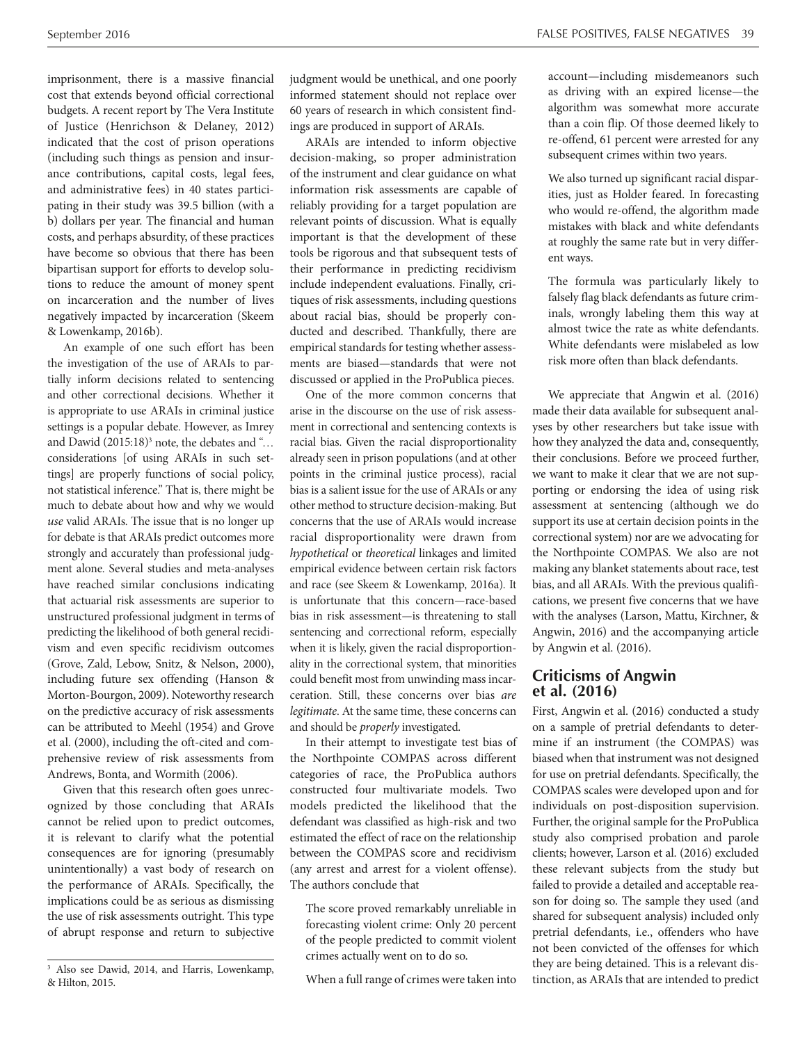imprisonment, there is a massive financial cost that extends beyond official correctional budgets. A recent report by The Vera Institute of Justice (Henrichson & Delaney, 2012) indicated that the cost of prison operations (including such things as pension and insurance contributions, capital costs, legal fees, and administrative fees) in 40 states participating in their study was 39.5 billion (with a b) dollars per year. The financial and human costs, and perhaps absurdity, of these practices have become so obvious that there has been bipartisan support for efforts to develop solutions to reduce the amount of money spent on incarceration and the number of lives negatively impacted by incarceration (Skeem & Lowenkamp, 2016b).

An example of one such effort has been the investigation of the use of ARAIs to partially inform decisions related to sentencing and other correctional decisions. Whether it is appropriate to use ARAIs in criminal justice settings is a popular debate. However, as Imrey and Dawid  $(2015:18)^3$  note, the debates and "... considerations [of using ARAIs in such settings] are properly functions of social policy, not statistical inference." That is, there might be much to debate about how and why we would *use* valid ARAIs. The issue that is no longer up for debate is that ARAIs predict outcomes more strongly and accurately than professional judgment alone. Several studies and meta-analyses have reached similar conclusions indicating that actuarial risk assessments are superior to unstructured professional judgment in terms of predicting the likelihood of both general recidivism and even specific recidivism outcomes (Grove, Zald, Lebow, Snitz, & Nelson, 2000), including future sex offending (Hanson & Morton-Bourgon, 2009). Noteworthy research on the predictive accuracy of risk assessments can be attributed to Meehl (1954) and Grove et al. (2000), including the oft-cited and comprehensive review of risk assessments from Andrews, Bonta, and Wormith (2006).

Given that this research often goes unrecognized by those concluding that ARAIs cannot be relied upon to predict outcomes, it is relevant to clarify what the potential consequences are for ignoring (presumably unintentionally) a vast body of research on the performance of ARAIs. Specifically, the implications could be as serious as dismissing the use of risk assessments outright. This type of abrupt response and return to subjective

judgment would be unethical, and one poorly informed statement should not replace over 60 years of research in which consistent findings are produced in support of ARAIs.

ARAIs are intended to inform objective decision-making, so proper administration of the instrument and clear guidance on what information risk assessments are capable of reliably providing for a target population are relevant points of discussion. What is equally important is that the development of these tools be rigorous and that subsequent tests of their performance in predicting recidivism include independent evaluations. Finally, critiques of risk assessments, including questions about racial bias, should be properly conducted and described. Thankfully, there are empirical standards for testing whether assessments are biased—standards that were not discussed or applied in the ProPublica pieces.

One of the more common concerns that arise in the discourse on the use of risk assessment in correctional and sentencing contexts is racial bias. Given the racial disproportionality already seen in prison populations (and at other points in the criminal justice process), racial bias is a salient issue for the use of ARAIs or any other method to structure decision-making. But concerns that the use of ARAIs would increase racial disproportionality were drawn from *hypothetical* or *theoretical* linkages and limited empirical evidence between certain risk factors and race (see Skeem & Lowenkamp, 2016a). It is unfortunate that this concern—race-based bias in risk assessment—is threatening to stall sentencing and correctional reform, especially when it is likely, given the racial disproportionality in the correctional system, that minorities could benefit most from unwinding mass incarceration. Still, these concerns over bias *are legitimate*. At the same time, these concerns can and should be *properly* investigated*.* 

In their attempt to investigate test bias of the Northpointe COMPAS across different categories of race, the ProPublica authors constructed four multivariate models. Two models predicted the likelihood that the defendant was classified as high-risk and two estimated the effect of race on the relationship between the COMPAS score and recidivism (any arrest and arrest for a violent offense). The authors conclude that

The score proved remarkably unreliable in forecasting violent crime: Only 20 percent of the people predicted to commit violent crimes actually went on to do so.

When a full range of crimes were taken into

account—including misdemeanors such as driving with an expired license—the algorithm was somewhat more accurate than a coin flip. Of those deemed likely to re-offend, 61 percent were arrested for any subsequent crimes within two years.

We also turned up significant racial disparities, just as Holder feared. In forecasting who would re-offend, the algorithm made mistakes with black and white defendants at roughly the same rate but in very different ways.

The formula was particularly likely to falsely flag black defendants as future criminals, wrongly labeling them this way at almost twice the rate as white defendants. White defendants were mislabeled as low risk more often than black defendants.

We appreciate that Angwin et al. (2016) made their data available for subsequent analyses by other researchers but take issue with how they analyzed the data and, consequently, their conclusions. Before we proceed further, we want to make it clear that we are not supporting or endorsing the idea of using risk assessment at sentencing (although we do support its use at certain decision points in the correctional system) nor are we advocating for the Northpointe COMPAS. We also are not making any blanket statements about race, test bias, and all ARAIs. With the previous qualifications, we present five concerns that we have with the analyses (Larson, Mattu, Kirchner, & Angwin, 2016) and the accompanying article by Angwin et al. (2016).

# **Criticisms of Angwin et al. (2016)**

First, Angwin et al. (2016) conducted a study on a sample of pretrial defendants to determine if an instrument (the COMPAS) was biased when that instrument was not designed for use on pretrial defendants. Specifically, the COMPAS scales were developed upon and for individuals on post-disposition supervision. Further, the original sample for the ProPublica study also comprised probation and parole clients; however, Larson et al. (2016) excluded these relevant subjects from the study but failed to provide a detailed and acceptable reason for doing so. The sample they used (and shared for subsequent analysis) included only pretrial defendants, i.e., offenders who have not been convicted of the offenses for which they are being detained. This is a relevant distinction, as ARAIs that are intended to predict

<sup>&</sup>lt;sup>3</sup> Also see Dawid, 2014, and Harris, Lowenkamp, & Hilton, 2015.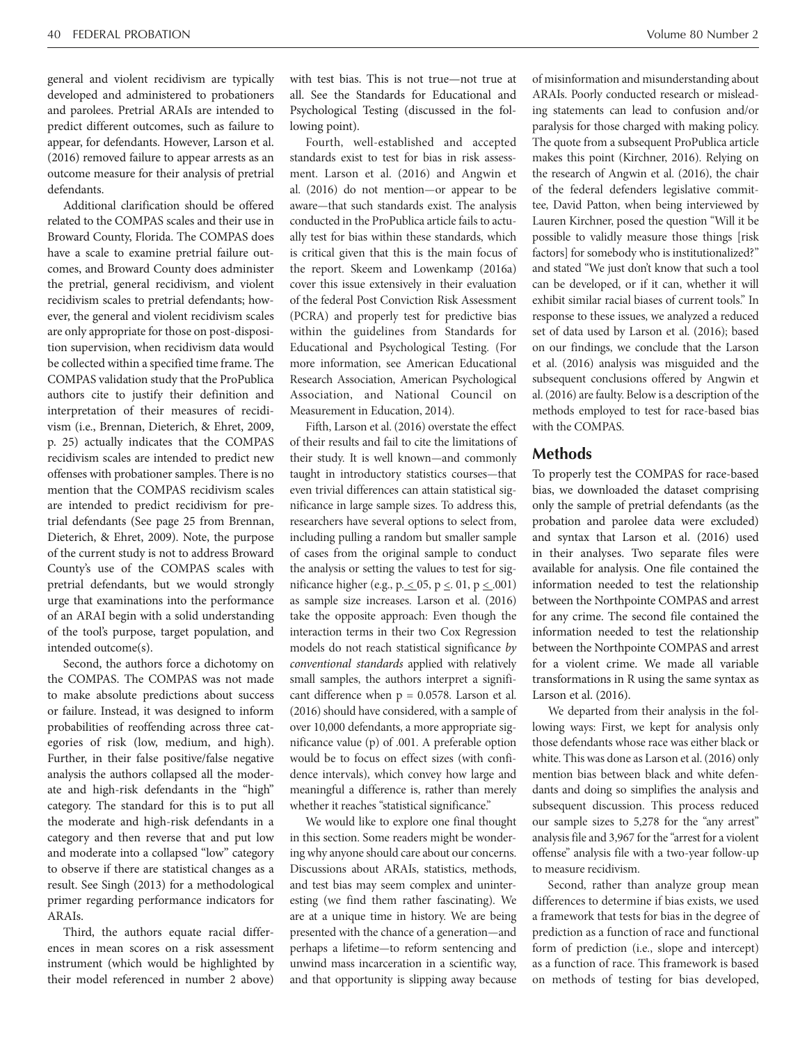general and violent recidivism are typically developed and administered to probationers and parolees. Pretrial ARAIs are intended to predict different outcomes, such as failure to appear, for defendants. However, Larson et al. (2016) removed failure to appear arrests as an outcome measure for their analysis of pretrial defendants.

Additional clarification should be offered related to the COMPAS scales and their use in Broward County, Florida. The COMPAS does have a scale to examine pretrial failure outcomes, and Broward County does administer the pretrial, general recidivism, and violent recidivism scales to pretrial defendants; however, the general and violent recidivism scales are only appropriate for those on post-disposition supervision, when recidivism data would be collected within a specified time frame. The COMPAS validation study that the ProPublica authors cite to justify their definition and interpretation of their measures of recidivism (i.e., Brennan, Dieterich, & Ehret, 2009, p. 25) actually indicates that the COMPAS recidivism scales are intended to predict new offenses with probationer samples. There is no mention that the COMPAS recidivism scales are intended to predict recidivism for pretrial defendants (See page 25 from Brennan, Dieterich, & Ehret, 2009). Note, the purpose of the current study is not to address Broward County's use of the COMPAS scales with pretrial defendants, but we would strongly urge that examinations into the performance of an ARAI begin with a solid understanding of the tool's purpose, target population, and intended outcome(s).

Second, the authors force a dichotomy on the COMPAS. The COMPAS was not made to make absolute predictions about success or failure. Instead, it was designed to inform probabilities of reoffending across three categories of risk (low, medium, and high). Further, in their false positive/false negative analysis the authors collapsed all the moderate and high-risk defendants in the "high" category. The standard for this is to put all the moderate and high-risk defendants in a category and then reverse that and put low and moderate into a collapsed "low" category to observe if there are statistical changes as a result. See Singh (2013) for a methodological primer regarding performance indicators for ARAIs.

Third, the authors equate racial differences in mean scores on a risk assessment instrument (which would be highlighted by their model referenced in number 2 above) with test bias. This is not true—not true at all. See the Standards for Educational and Psychological Testing (discussed in the following point).

Fourth, well-established and accepted standards exist to test for bias in risk assessment. Larson et al. (2016) and Angwin et al. (2016) do not mention—or appear to be aware—that such standards exist. The analysis conducted in the ProPublica article fails to actually test for bias within these standards, which is critical given that this is the main focus of the report. Skeem and Lowenkamp (2016a) cover this issue extensively in their evaluation of the federal Post Conviction Risk Assessment (PCRA) and properly test for predictive bias within the guidelines from Standards for Educational and Psychological Testing. (For more information, see American Educational Research Association, American Psychological Association, and National Council on Measurement in Education, 2014).

Fifth, Larson et al. (2016) overstate the effect of their results and fail to cite the limitations of their study. It is well known—and commonly taught in introductory statistics courses—that even trivial differences can attain statistical significance in large sample sizes. To address this, researchers have several options to select from, including pulling a random but smaller sample of cases from the original sample to conduct the analysis or setting the values to test for significance higher (e.g., p.  $\leq$  05, p  $\leq$  01, p  $\leq$  001) as sample size increases. Larson et al. (2016) take the opposite approach: Even though the interaction terms in their two Cox Regression models do not reach statistical significance *by conventional standards* applied with relatively small samples, the authors interpret a significant difference when  $p = 0.0578$ . Larson et al. (2016) should have considered, with a sample of over 10,000 defendants, a more appropriate significance value (p) of .001. A preferable option would be to focus on effect sizes (with confidence intervals), which convey how large and meaningful a difference is, rather than merely whether it reaches "statistical significance."

We would like to explore one final thought in this section. Some readers might be wondering why anyone should care about our concerns. Discussions about ARAIs, statistics, methods, and test bias may seem complex and uninteresting (we find them rather fascinating). We are at a unique time in history. We are being presented with the chance of a generation—and perhaps a lifetime—to reform sentencing and unwind mass incarceration in a scientific way, and that opportunity is slipping away because of misinformation and misunderstanding about ARAIs. Poorly conducted research or misleading statements can lead to confusion and/or paralysis for those charged with making policy. The quote from a subsequent ProPublica article makes this point (Kirchner, 2016). Relying on the research of Angwin et al. (2016), the chair of the federal defenders legislative committee, David Patton, when being interviewed by Lauren Kirchner, posed the question "Will it be possible to validly measure those things [risk factors] for somebody who is institutionalized?" and stated "We just don't know that such a tool can be developed, or if it can, whether it will exhibit similar racial biases of current tools." In response to these issues, we analyzed a reduced set of data used by Larson et al. (2016); based on our findings, we conclude that the Larson et al. (2016) analysis was misguided and the subsequent conclusions offered by Angwin et al. (2016) are faulty. Below is a description of the methods employed to test for race-based bias with the COMPAS.

# **Methods**

To properly test the COMPAS for race-based bias, we downloaded the dataset comprising only the sample of pretrial defendants (as the probation and parolee data were excluded) and syntax that Larson et al. (2016) used in their analyses. Two separate files were available for analysis. One file contained the information needed to test the relationship between the Northpointe COMPAS and arrest for any crime. The second file contained the information needed to test the relationship between the Northpointe COMPAS and arrest for a violent crime. We made all variable transformations in R using the same syntax as Larson et al. (2016).

We departed from their analysis in the following ways: First, we kept for analysis only those defendants whose race was either black or white. This was done as Larson et al. (2016) only mention bias between black and white defendants and doing so simplifies the analysis and subsequent discussion. This process reduced our sample sizes to 5,278 for the "any arrest" analysis file and 3,967 for the "arrest for a violent offense" analysis file with a two-year follow-up to measure recidivism.

Second, rather than analyze group mean differences to determine if bias exists, we used a framework that tests for bias in the degree of prediction as a function of race and functional form of prediction (i.e., slope and intercept) as a function of race. This framework is based on methods of testing for bias developed,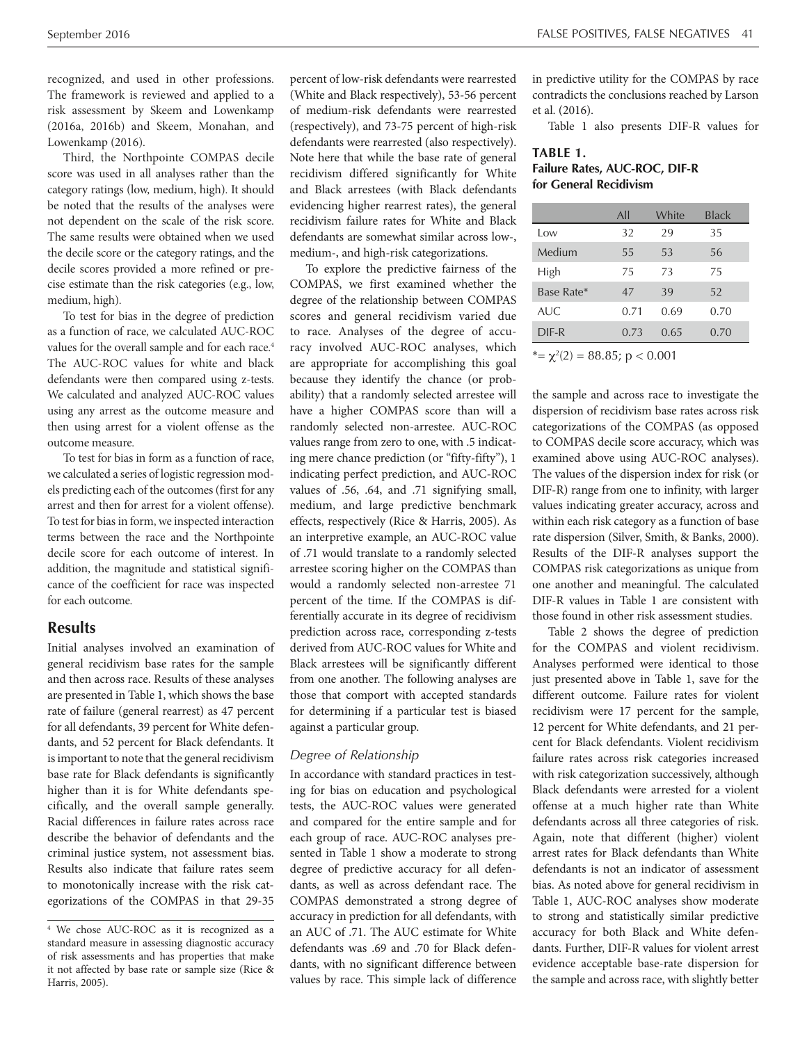recognized, and used in other professions. The framework is reviewed and applied to a risk assessment by Skeem and Lowenkamp (2016a, 2016b) and Skeem, Monahan, and Lowenkamp (2016).

Third, the Northpointe COMPAS decile score was used in all analyses rather than the category ratings (low, medium, high). It should be noted that the results of the analyses were not dependent on the scale of the risk score. The same results were obtained when we used the decile score or the category ratings, and the decile scores provided a more refined or precise estimate than the risk categories (e.g., low, medium, high).

To test for bias in the degree of prediction as a function of race, we calculated AUC-ROC values for the overall sample and for each race.<sup>4</sup> The AUC-ROC values for white and black defendants were then compared using z-tests. We calculated and analyzed AUC-ROC values using any arrest as the outcome measure and then using arrest for a violent offense as the outcome measure.

To test for bias in form as a function of race, we calculated a series of logistic regression models predicting each of the outcomes (first for any arrest and then for arrest for a violent offense). To test for bias in form, we inspected interaction terms between the race and the Northpointe decile score for each outcome of interest. In addition, the magnitude and statistical significance of the coefficient for race was inspected for each outcome.

# **Results**

Initial analyses involved an examination of general recidivism base rates for the sample and then across race. Results of these analyses are presented in Table 1, which shows the base rate of failure (general rearrest) as 47 percent for all defendants, 39 percent for White defendants, and 52 percent for Black defendants. It is important to note that the general recidivism base rate for Black defendants is significantly higher than it is for White defendants specifically, and the overall sample generally. Racial differences in failure rates across race describe the behavior of defendants and the criminal justice system, not assessment bias. Results also indicate that failure rates seem to monotonically increase with the risk categorizations of the COMPAS in that 29-35

percent of low-risk defendants were rearrested (White and Black respectively), 53-56 percent of medium-risk defendants were rearrested (respectively), and 73-75 percent of high-risk defendants were rearrested (also respectively). Note here that while the base rate of general recidivism differed significantly for White and Black arrestees (with Black defendants evidencing higher rearrest rates), the general recidivism failure rates for White and Black defendants are somewhat similar across low-, medium-, and high-risk categorizations.

To explore the predictive fairness of the COMPAS, we first examined whether the degree of the relationship between COMPAS scores and general recidivism varied due to race. Analyses of the degree of accuracy involved AUC-ROC analyses, which are appropriate for accomplishing this goal because they identify the chance (or probability) that a randomly selected arrestee will have a higher COMPAS score than will a randomly selected non-arrestee. AUC-ROC values range from zero to one, with .5 indicating mere chance prediction (or "fifty-fifty"), 1 indicating perfect prediction, and AUC-ROC values of .56, .64, and .71 signifying small, medium, and large predictive benchmark effects, respectively (Rice & Harris, 2005). As an interpretive example, an AUC-ROC value of .71 would translate to a randomly selected arrestee scoring higher on the COMPAS than would a randomly selected non-arrestee 71 percent of the time. If the COMPAS is differentially accurate in its degree of recidivism prediction across race, corresponding z-tests derived from AUC-ROC values for White and Black arrestees will be significantly different from one another. The following analyses are those that comport with accepted standards for determining if a particular test is biased against a particular group.

#### *Degree of Relationship*

In accordance with standard practices in testing for bias on education and psychological tests, the AUC-ROC values were generated and compared for the entire sample and for each group of race. AUC-ROC analyses presented in Table 1 show a moderate to strong degree of predictive accuracy for all defendants, as well as across defendant race. The COMPAS demonstrated a strong degree of accuracy in prediction for all defendants, with an AUC of .71. The AUC estimate for White defendants was .69 and .70 for Black defendants, with no significant difference between values by race. This simple lack of difference in predictive utility for the COMPAS by race contradicts the conclusions reached by Larson et al. (2016).

Table 1 also presents DIF-R values for

## **Failure Rates, AUC-ROC, DIF-R TABLE 1. for General Recidivism**

|                                    | All  | White | <b>Black</b> |  |  |
|------------------------------------|------|-------|--------------|--|--|
| Low                                | 32   | 29    | 35           |  |  |
| Medium                             | 55   | 53    | 56           |  |  |
| High                               | 75   | 73    | 75           |  |  |
| Base Rate*                         | 47   | 39    | 52           |  |  |
| AI/C                               | 0.71 | 0.69  | 0.70         |  |  |
| $DIF-R$                            | 0.73 | 0.65  | 0.70         |  |  |
| $* = \chi^2(2) = 88.85; p < 0.001$ |      |       |              |  |  |

the sample and across race to investigate the dispersion of recidivism base rates across risk categorizations of the COMPAS (as opposed to COMPAS decile score accuracy, which was examined above using AUC-ROC analyses). The values of the dispersion index for risk (or DIF-R) range from one to infinity, with larger values indicating greater accuracy, across and within each risk category as a function of base rate dispersion (Silver, Smith, & Banks, 2000). Results of the DIF-R analyses support the COMPAS risk categorizations as unique from one another and meaningful. The calculated DIF-R values in Table 1 are consistent with those found in other risk assessment studies.

Table 2 shows the degree of prediction for the COMPAS and violent recidivism. Analyses performed were identical to those just presented above in Table 1, save for the different outcome. Failure rates for violent recidivism were 17 percent for the sample, 12 percent for White defendants, and 21 percent for Black defendants. Violent recidivism failure rates across risk categories increased with risk categorization successively, although Black defendants were arrested for a violent offense at a much higher rate than White defendants across all three categories of risk. Again, note that different (higher) violent arrest rates for Black defendants than White defendants is not an indicator of assessment bias. As noted above for general recidivism in Table 1, AUC-ROC analyses show moderate to strong and statistically similar predictive accuracy for both Black and White defendants. Further, DIF-R values for violent arrest evidence acceptable base-rate dispersion for the sample and across race, with slightly better

<sup>4</sup> We chose AUC-ROC as it is recognized as a standard measure in assessing diagnostic accuracy of risk assessments and has properties that make it not affected by base rate or sample size (Rice & Harris, 2005).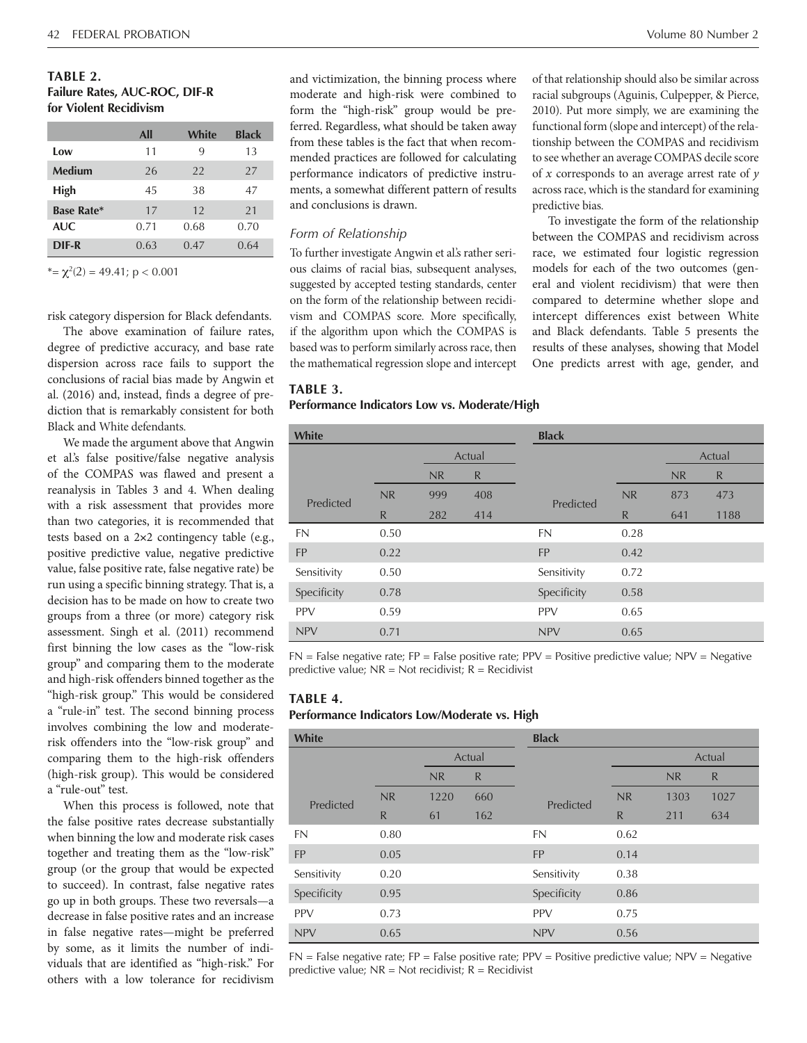#### **TABLE 2.**

#### **Failure Rates, AUC-ROC, DIF-R for Violent Recidivism**

|                   | All  | White | <b>Black</b> |
|-------------------|------|-------|--------------|
| Low               | 11   | 9     | 13           |
| <b>Medium</b>     | 26   | 22    | 27           |
| High              | 45   | 38    | 47           |
| <b>Base Rate*</b> | 17   | 12    | 21           |
| <b>AUC</b>        | 0.71 | 0.68  | 0.70         |
| DIF-R             | 0.63 | 0.47  | 0.64         |

 $* = \chi^2(2) = 49.41; p < 0.001$ 

risk category dispersion for Black defendants.

The above examination of failure rates, degree of predictive accuracy, and base rate dispersion across race fails to support the conclusions of racial bias made by Angwin et al. (2016) and, instead, finds a degree of prediction that is remarkably consistent for both Black and White defendants.

We made the argument above that Angwin et al.'s false positive/false negative analysis of the COMPAS was flawed and present a reanalysis in Tables 3 and 4. When dealing with a risk assessment that provides more than two categories, it is recommended that tests based on a 2×2 contingency table (e.g., positive predictive value, negative predictive value, false positive rate, false negative rate) be run using a specific binning strategy. That is, a decision has to be made on how to create two groups from a three (or more) category risk assessment. Singh et al. (2011) recommend first binning the low cases as the "low-risk group" and comparing them to the moderate and high-risk offenders binned together as the "high-risk group." This would be considered a "rule-in" test. The second binning process involves combining the low and moderaterisk offenders into the "low-risk group" and comparing them to the high-risk offenders (high-risk group). This would be considered a "rule-out" test.

When this process is followed, note that the false positive rates decrease substantially when binning the low and moderate risk cases together and treating them as the "low-risk" group (or the group that would be expected to succeed). In contrast, false negative rates go up in both groups. These two reversals—a decrease in false positive rates and an increase in false negative rates—might be preferred by some, as it limits the number of individuals that are identified as "high-risk." For others with a low tolerance for recidivism

and victimization, the binning process where moderate and high-risk were combined to form the "high-risk" group would be preferred. Regardless, what should be taken away from these tables is the fact that when recommended practices are followed for calculating performance indicators of predictive instruments, a somewhat different pattern of results and conclusions is drawn.

#### *Form of Relationship*

To further investigate Angwin et al.'s rather serious claims of racial bias, subsequent analyses, suggested by accepted testing standards, center on the form of the relationship between recidivism and COMPAS score. More specifically, if the algorithm upon which the COMPAS is based was to perform similarly across race, then the mathematical regression slope and intercept

of that relationship should also be similar across racial subgroups (Aguinis, Culpepper, & Pierce, 2010). Put more simply, we are examining the functional form (slope and intercept) of the relationship between the COMPAS and recidivism to see whether an average COMPAS decile score of *x* corresponds to an average arrest rate of *y*  across race, which is the standard for examining predictive bias.

To investigate the form of the relationship between the COMPAS and recidivism across race, we estimated four logistic regression models for each of the two outcomes (general and violent recidivism) that were then compared to determine whether slope and intercept differences exist between White and Black defendants. Table 5 presents the results of these analyses, showing that Model One predicts arrest with age, gender, and

## **TABLE 3.**

#### **Performance Indicators Low vs. Moderate/High**

| <b>White</b> |        |           |     | <b>Black</b> |      |        |              |
|--------------|--------|-----------|-----|--------------|------|--------|--------------|
|              | Actual |           |     |              |      | Actual |              |
|              |        | <b>NR</b> | R   |              |      | NR     | $\mathsf{R}$ |
| Predicted    | NR     | 999       | 408 | Predicted    | NR   | 873    | 473          |
|              | R      | 282       | 414 |              | R    | 641    | 1188         |
| <b>FN</b>    | 0.50   |           |     | <b>FN</b>    | 0.28 |        |              |
| <b>FP</b>    | 0.22   |           |     | <b>FP</b>    | 0.42 |        |              |
| Sensitivity  | 0.50   |           |     | Sensitivity  | 0.72 |        |              |
| Specificity  | 0.78   |           |     | Specificity  | 0.58 |        |              |
| <b>PPV</b>   | 0.59   |           |     | <b>PPV</b>   | 0.65 |        |              |
| <b>NPV</b>   | 0.71   |           |     | <b>NPV</b>   | 0.65 |        |              |

 $FN$  = False negative rate;  $FP$  = False positive rate;  $PPV$  = Positive predictive value;  $NPV$  = Negative predictive value;  $NR = Not$  recidivist;  $R = Recidivist$ 

## **TABLE 4.**

#### **Performance Indicators Low/Moderate vs. High**

| <b>White</b> |              |      |              | <b>Black</b> |              |      |      |
|--------------|--------------|------|--------------|--------------|--------------|------|------|
|              | Actual       |      |              | Actual       |              |      |      |
|              |              | NR   | $\mathsf{R}$ |              |              | NR   | R    |
| Predicted    | NR           | 1220 | 660          | Predicted    | NR           | 1303 | 1027 |
|              | $\mathsf{R}$ | 61   | 162          |              | $\mathsf{R}$ | 211  | 634  |
| <b>FN</b>    | 0.80         |      |              | <b>FN</b>    | 0.62         |      |      |
| <b>FP</b>    | 0.05         |      |              | <b>FP</b>    | 0.14         |      |      |
| Sensitivity  | 0.20         |      |              | Sensitivity  | 0.38         |      |      |
| Specificity  | 0.95         |      |              | Specificity  | 0.86         |      |      |
| <b>PPV</b>   | 0.73         |      |              | <b>PPV</b>   | 0.75         |      |      |
| <b>NPV</b>   | 0.65         |      |              | <b>NPV</b>   | 0.56         |      |      |

 $FN$  = False negative rate;  $FP$  = False positive rate;  $PPV$  = Positive predictive value;  $NPV$  = Negative predictive value;  $NR = Not$  recidivist;  $R = Recidivist$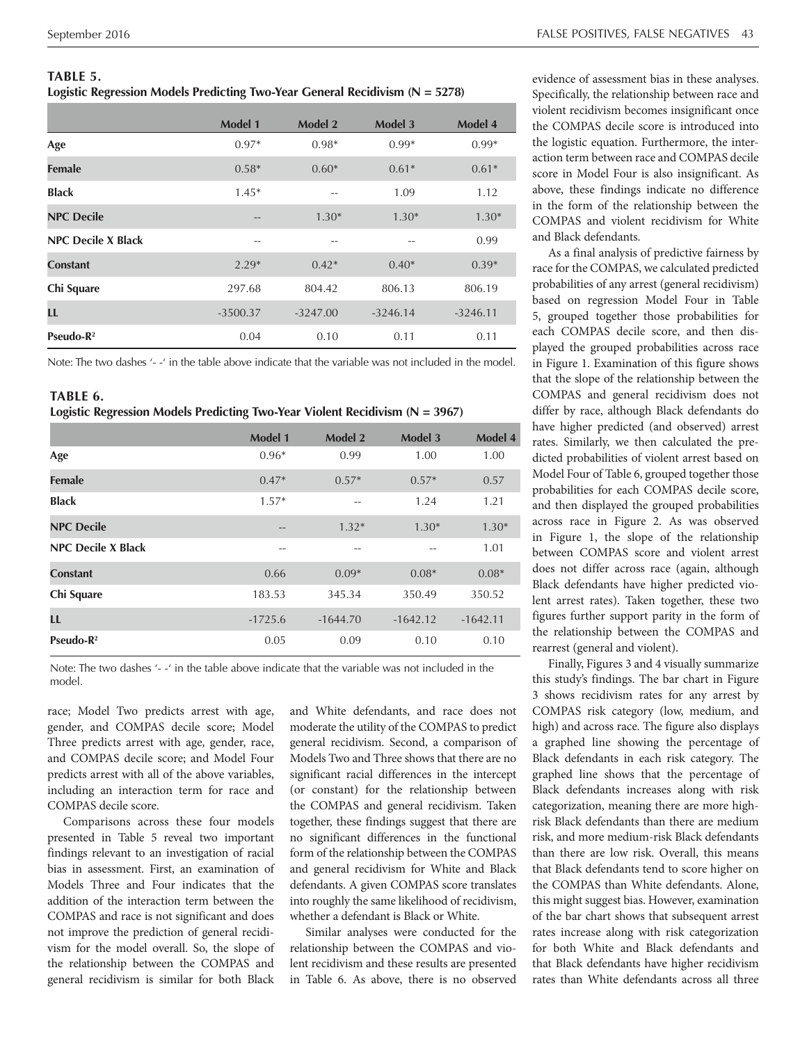Logistic Regression Models Predicting Two-Year General Recidivism (N = 5278) Specifically, the relationship between race and

|                           | <b>Model 1</b>    | Model 2    | Model 3    | Model 4    |
|---------------------------|-------------------|------------|------------|------------|
| Age                       | $0.97*$           | $0.98*$    | $0.99*$    | $0.99*$    |
| <b>Female</b>             | $0.58*$           | $0.60*$    | $0.61*$    | $0.61*$    |
| <b>Black</b>              | $1.45*$           |            | 1.09       | 1.12       |
| <b>NPC Decile</b>         | $\qquad \qquad -$ | $1.30*$    | $1.30*$    | $1.30*$    |
| <b>NPC Decile X Black</b> | $- -$             | --         | --         | 0.99       |
| <b>Constant</b>           | $2.29*$           | $0.42*$    | $0.40*$    | $0.39*$    |
| Chi Square                | 297.68            | 804.42     | 806.13     | 806.19     |
| LL                        | $-3500.37$        | $-3247.00$ | $-3246.14$ | $-3246.11$ |
| Pseudo- $R^2$             | 0.04              | 0.10       | 0.11       | 0.11       |

Note: The two dashes '--' in the table above indicate that the variable was not included in the model.

#### **TABLE 6. Logistic Regression Models Predicting Two-Year Violent Recidivism (N = 3967)**

|                           | <b>Model 1</b> | <b>Model 2</b> | Model 3    | Model 4    |
|---------------------------|----------------|----------------|------------|------------|
| Age                       | $0.96*$        | 0.99           | 1.00       | 1.00       |
| <b>Female</b>             | $0.47*$        | $0.57*$        | $0.57*$    | 0.57       |
| <b>Black</b>              | $1.57*$        | --             | 1.24       | 1.21       |
| <b>NPC Decile</b>         | $- -$          | $1.32*$        | $1.30*$    | $1.30*$    |
| <b>NPC Decile X Black</b> | --             | --             | --         | 1.01       |
| <b>Constant</b>           | 0.66           | $0.09*$        | $0.08*$    | $0.08*$    |
| Chi Square                | 183.53         | 345.34         | 350.49     | 350.52     |
| LL                        | $-1725.6$      | $-1644.70$     | $-1642.12$ | $-1642.11$ |
| Pseudo- $\mathbb{R}^2$    | 0.05           | 0.09           | 0.10       | 0.10       |

Note: The two dashes '--' in the table above indicate that the variable was not included in the model.

race; Model Two predicts arrest with age, gender, and COMPAS decile score; Model Three predicts arrest with age, gender, race, and COMPAS decile score; and Model Four predicts arrest with all of the above variables, including an interaction term for race and COMPAS decile score.

Comparisons across these four models presented in Table 5 reveal two important findings relevant to an investigation of racial bias in assessment. First, an examination of Models Three and Four indicates that the addition of the interaction term between the COMPAS and race is not significant and does not improve the prediction of general recidivism for the model overall. So, the slope of the relationship between the COMPAS and general recidivism is similar for both Black

and White defendants, and race does not moderate the utility of the COMPAS to predict general recidivism. Second, a comparison of Models Two and Three shows that there are no significant racial differences in the intercept (or constant) for the relationship between the COMPAS and general recidivism. Taken together, these findings suggest that there are no significant differences in the functional form of the relationship between the COMPAS and general recidivism for White and Black defendants. A given COMPAS score translates into roughly the same likelihood of recidivism, whether a defendant is Black or White.

Similar analyses were conducted for the relationship between the COMPAS and violent recidivism and these results are presented in Table 6. As above, there is no observed

**TABLE 5.** evidence of assessment bias in these analyses. violent recidivism becomes insignificant once the COMPAS decile score is introduced into the logistic equation. Furthermore, the interaction term between race and COMPAS decile score in Model Four is also insignificant. As above, these findings indicate no difference in the form of the relationship between the COMPAS and violent recidivism for White and Black defendants.

> As a final analysis of predictive fairness by race for the COMPAS, we calculated predicted probabilities of any arrest (general recidivism) based on regression Model Four in Table 5, grouped together those probabilities for each COMPAS decile score, and then displayed the grouped probabilities across race in Figure 1. Examination of this figure shows that the slope of the relationship between the COMPAS and general recidivism does not differ by race, although Black defendants do have higher predicted (and observed) arrest rates. Similarly, we then calculated the predicted probabilities of violent arrest based on Model Four of Table 6, grouped together those probabilities for each COMPAS decile score, and then displayed the grouped probabilities across race in Figure 2. As was observed in Figure 1, the slope of the relationship between COMPAS score and violent arrest does not differ across race (again, although Black defendants have higher predicted violent arrest rates). Taken together, these two figures further support parity in the form of the relationship between the COMPAS and rearrest (general and violent).

> Finally, Figures 3 and 4 visually summarize this study's findings. The bar chart in Figure 3 shows recidivism rates for any arrest by COMPAS risk category (low, medium, and high) and across race. The figure also displays a graphed line showing the percentage of Black defendants in each risk category. The graphed line shows that the percentage of Black defendants increases along with risk categorization, meaning there are more highrisk Black defendants than there are medium risk, and more medium-risk Black defendants than there are low risk. Overall, this means that Black defendants tend to score higher on the COMPAS than White defendants. Alone, this might suggest bias. However, examination of the bar chart shows that subsequent arrest rates increase along with risk categorization for both White and Black defendants and that Black defendants have higher recidivism rates than White defendants across all three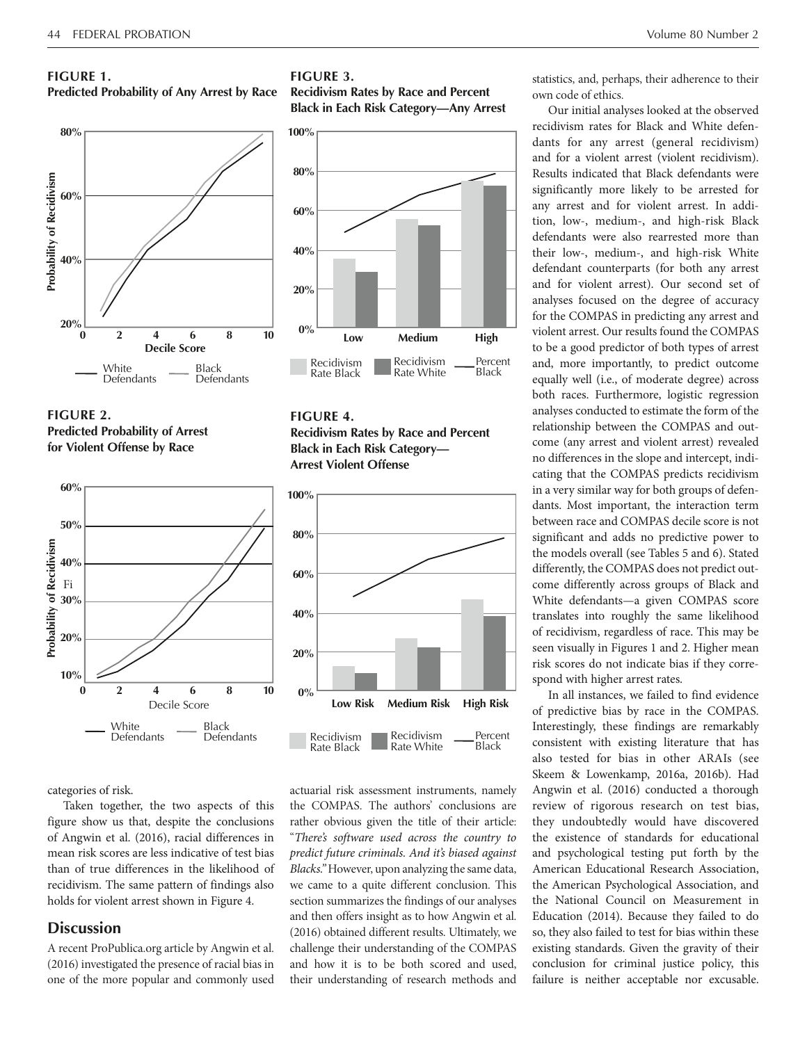#### **FIGURE 1.**

#### **Predicted Probability of Any Arrest by Race**







categories of risk. 

Taken together, the two aspects of this figure show us that, despite the conclusions of Angwin et al. (2016), racial differences in mean risk scores are less indicative of test bias than of true differences in the likelihood of recidivism. The same pattern of findings also holds for violent arrest shown in Figure 4.

# **Discussion**

A recent ProPublica.org article by Angwin et al. (2016) investigated the presence of racial bias in one of the more popular and commonly used

#### **FIGURE 3.**

**Recidivism Rates by Race and Percent Black in Each Risk Category—Any Arrest** 



# **FIGURE 4. Recidivism Rates by Race and Percent Black in Each Risk Category— Arrest Violent Offense**



actuarial risk assessment instruments, namely the COMPAS. The authors' conclusions are rather obvious given the title of their article: "*There's software used across the country to predict future criminals. And it's biased against Blacks."* However, upon analyzing the same data, we came to a quite different conclusion. This section summarizes the findings of our analyses and then offers insight as to how Angwin et al. (2016) obtained different results. Ultimately, we challenge their understanding of the COMPAS and how it is to be both scored and used, their understanding of research methods and

statistics, and, perhaps, their adherence to their own code of ethics.

Our initial analyses looked at the observed recidivism rates for Black and White defendants for any arrest (general recidivism) and for a violent arrest (violent recidivism). Results indicated that Black defendants were significantly more likely to be arrested for any arrest and for violent arrest. In addition, low-, medium-, and high-risk Black defendants were also rearrested more than their low-, medium-, and high-risk White defendant counterparts (for both any arrest and for violent arrest). Our second set of analyses focused on the degree of accuracy for the COMPAS in predicting any arrest and violent arrest. Our results found the COMPAS to be a good predictor of both types of arrest and, more importantly, to predict outcome equally well (i.e., of moderate degree) across both races. Furthermore, logistic regression analyses conducted to estimate the form of the relationship between the COMPAS and outcome (any arrest and violent arrest) revealed no differences in the slope and intercept, indicating that the COMPAS predicts recidivism in a very similar way for both groups of defendants. Most important, the interaction term between race and COMPAS decile score is not significant and adds no predictive power to the models overall (see Tables 5 and 6). Stated differently, the COMPAS does not predict outcome differently across groups of Black and White defendants—a given COMPAS score translates into roughly the same likelihood of recidivism, regardless of race. This may be seen visually in Figures 1 and 2. Higher mean risk scores do not indicate bias if they correspond with higher arrest rates.

In all instances, we failed to find evidence of predictive bias by race in the COMPAS. Interestingly, these findings are remarkably consistent with existing literature that has also tested for bias in other ARAIs (see Skeem & Lowenkamp, 2016a, 2016b). Had Angwin et al. (2016) conducted a thorough review of rigorous research on test bias, they undoubtedly would have discovered the existence of standards for educational and psychological testing put forth by the American Educational Research Association, the American Psychological Association, and the National Council on Measurement in Education (2014). Because they failed to do so, they also failed to test for bias within these existing standards. Given the gravity of their conclusion for criminal justice policy, this failure is neither acceptable nor excusable.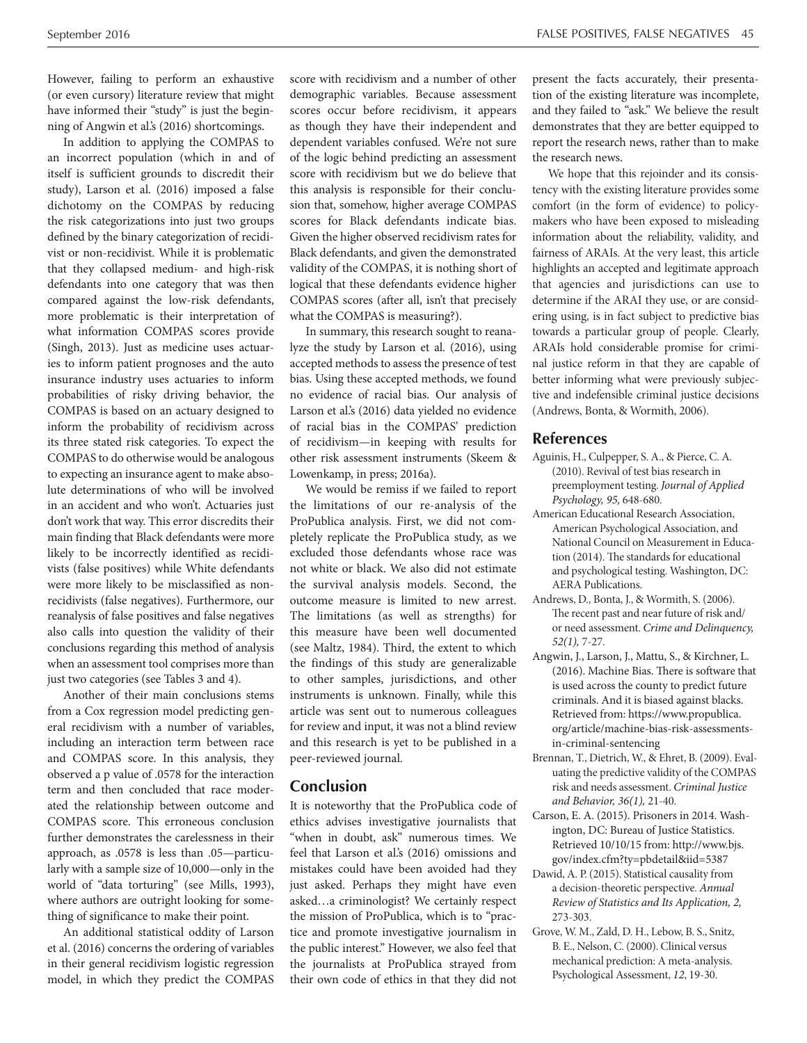However, failing to perform an exhaustive (or even cursory) literature review that might have informed their "study" is just the beginning of Angwin et al.'s (2016) shortcomings.

In addition to applying the COMPAS to an incorrect population (which in and of itself is sufficient grounds to discredit their study), Larson et al. (2016) imposed a false dichotomy on the COMPAS by reducing the risk categorizations into just two groups defined by the binary categorization of recidivist or non-recidivist. While it is problematic that they collapsed medium- and high-risk defendants into one category that was then compared against the low-risk defendants, more problematic is their interpretation of what information COMPAS scores provide (Singh, 2013). Just as medicine uses actuaries to inform patient prognoses and the auto insurance industry uses actuaries to inform probabilities of risky driving behavior, the COMPAS is based on an actuary designed to inform the probability of recidivism across its three stated risk categories. To expect the COMPAS to do otherwise would be analogous to expecting an insurance agent to make absolute determinations of who will be involved in an accident and who won't. Actuaries just don't work that way. This error discredits their main finding that Black defendants were more likely to be incorrectly identified as recidivists (false positives) while White defendants were more likely to be misclassified as nonrecidivists (false negatives). Furthermore, our reanalysis of false positives and false negatives also calls into question the validity of their conclusions regarding this method of analysis when an assessment tool comprises more than just two categories (see Tables 3 and 4).

Another of their main conclusions stems from a Cox regression model predicting general recidivism with a number of variables, including an interaction term between race and COMPAS score. In this analysis, they observed a p value of .0578 for the interaction term and then concluded that race moderated the relationship between outcome and COMPAS score. This erroneous conclusion further demonstrates the carelessness in their approach, as .0578 is less than .05—particularly with a sample size of 10,000—only in the world of "data torturing" (see Mills, 1993), where authors are outright looking for something of significance to make their point.

An additional statistical oddity of Larson et al. (2016) concerns the ordering of variables in their general recidivism logistic regression model, in which they predict the COMPAS score with recidivism and a number of other demographic variables. Because assessment scores occur before recidivism, it appears as though they have their independent and dependent variables confused. We're not sure of the logic behind predicting an assessment score with recidivism but we do believe that this analysis is responsible for their conclusion that, somehow, higher average COMPAS scores for Black defendants indicate bias. Given the higher observed recidivism rates for Black defendants, and given the demonstrated validity of the COMPAS, it is nothing short of logical that these defendants evidence higher COMPAS scores (after all, isn't that precisely what the COMPAS is measuring?).

In summary, this research sought to reanalyze the study by Larson et al. (2016), using accepted methods to assess the presence of test bias. Using these accepted methods, we found no evidence of racial bias. Our analysis of Larson et al.'s (2016) data yielded no evidence of racial bias in the COMPAS' prediction of recidivism—in keeping with results for other risk assessment instruments (Skeem & Lowenkamp, in press; 2016a).

We would be remiss if we failed to report the limitations of our re-analysis of the ProPublica analysis. First, we did not completely replicate the ProPublica study, as we excluded those defendants whose race was not white or black. We also did not estimate the survival analysis models. Second, the outcome measure is limited to new arrest. The limitations (as well as strengths) for this measure have been well documented (see Maltz, 1984). Third, the extent to which the findings of this study are generalizable to other samples, jurisdictions, and other instruments is unknown. Finally, while this article was sent out to numerous colleagues for review and input, it was not a blind review and this research is yet to be published in a peer-reviewed journal.

# **Conclusion**

It is noteworthy that the ProPublica code of ethics advises investigative journalists that "when in doubt, ask" numerous times. We feel that Larson et al.'s (2016) omissions and mistakes could have been avoided had they just asked. Perhaps they might have even asked…a criminologist? We certainly respect the mission of ProPublica, which is to "practice and promote investigative journalism in the public interest." However, we also feel that the journalists at ProPublica strayed from their own code of ethics in that they did not present the facts accurately, their presentation of the existing literature was incomplete, and they failed to "ask." We believe the result demonstrates that they are better equipped to report the research news, rather than to make the research news.

We hope that this rejoinder and its consistency with the existing literature provides some comfort (in the form of evidence) to policymakers who have been exposed to misleading information about the reliability, validity, and fairness of ARAIs. At the very least, this article highlights an accepted and legitimate approach that agencies and jurisdictions can use to determine if the ARAI they use, or are considering using, is in fact subject to predictive bias towards a particular group of people. Clearly, ARAIs hold considerable promise for criminal justice reform in that they are capable of better informing what were previously subjective and indefensible criminal justice decisions (Andrews, Bonta, & Wormith, 2006).

# **References**

- Aguinis, H., Culpepper, S. A., & Pierce, C. A. (2010). Revival of test bias research in preemployment testing. *Journal of Applied Psychology, 95,* 648-680.
- American Educational Research Association, American Psychological Association, and National Council on Measurement in Education (2014). The standards for educational and psychological testing. Washington, DC: AERA Publications.
- Andrews, D., Bonta, J., & Wormith, S. (2006). The recent past and near future of risk and/ or need assessment. *Crime and Delinquency, 52(1),* 7-27.
- Angwin, J., Larson, J., Mattu, S., & Kirchner, L. (2016). Machine Bias. There is software that is used across the county to predict future criminals. And it is biased against blacks. Retrieved from: https://www.propublica. org/article/machine-bias-risk-assessmentsin-criminal-sentencing
- Brennan, T., Dietrich, W., & Ehret, B. (2009). Evaluating the predictive validity of the COMPAS risk and needs assessment. *Criminal Justice and Behavior, 36(1),* 21-40.
- Carson, E. A. (2015). Prisoners in 2014. Washington, DC: Bureau of Justice Statistics. Retrieved 10/10/15 from: http://www.bjs. gov/index.cfm?ty=pbdetail&iid=5387
- Dawid, A. P. (2015). Statistical causality from a decision-theoretic perspective. *Annual Review of Statistics and Its Application, 2,*  273-303.
- Grove, W. M., Zald, D. H., Lebow, B. S., Snitz, B. E., Nelson, C. (2000). Clinical versus mechanical prediction: A meta-analysis. Psychological Assessment, *12*, 19-30.